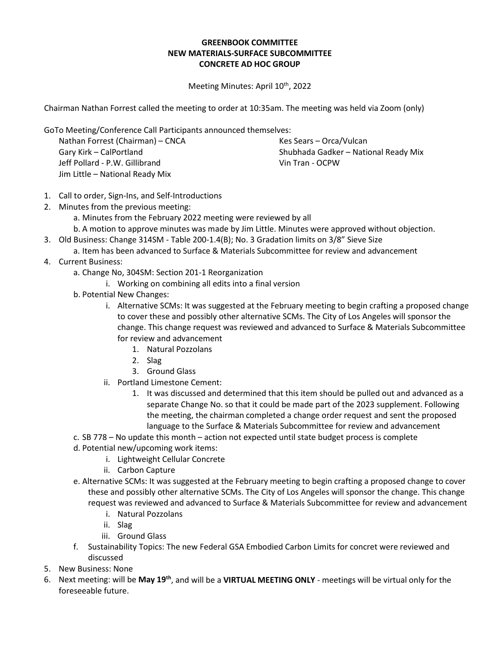## **GREENBOOK COMMITTEE NEW MATERIALS-SURFACE SUBCOMMITTEE CONCRETE AD HOC GROUP**

Meeting Minutes: April 10<sup>th</sup>, 2022

Chairman Nathan Forrest called the meeting to order at 10:35am. The meeting was held via Zoom (only)

GoTo Meeting/Conference Call Participants announced themselves:

Nathan Forrest (Chairman) – CNCA Gary Kirk – CalPortland Jeff Pollard - P.W. Gillibrand Jim Little – National Ready Mix

Kes Sears – Orca/Vulcan Shubhada Gadker – National Ready Mix Vin Tran - OCPW

- 1. Call to order, Sign-Ins, and Self-Introductions
- 2. Minutes from the previous meeting:
	- a. Minutes from the February 2022 meeting were reviewed by all
	- b. A motion to approve minutes was made by Jim Little. Minutes were approved without objection.
- 3. Old Business: Change 314SM Table 200-1.4(B); No. 3 Gradation limits on 3/8" Sieve Size
	- a. Item has been advanced to Surface & Materials Subcommittee for review and advancement
- 4. Current Business:
	- a. Change No, 304SM: Section 201-1 Reorganization
		- i. Working on combining all edits into a final version
	- b. Potential New Changes:
		- i. Alternative SCMs: It was suggested at the February meeting to begin crafting a proposed change to cover these and possibly other alternative SCMs. The City of Los Angeles will sponsor the change. This change request was reviewed and advanced to Surface & Materials Subcommittee for review and advancement
			- 1. Natural Pozzolans
			- 2. Slag
			- 3. Ground Glass
		- ii. Portland Limestone Cement:
			- 1. It was discussed and determined that this item should be pulled out and advanced as a separate Change No. so that it could be made part of the 2023 supplement. Following the meeting, the chairman completed a change order request and sent the proposed language to the Surface & Materials Subcommittee for review and advancement
	- c. SB 778 No update this month action not expected until state budget process is complete
	- d. Potential new/upcoming work items:
		- i. Lightweight Cellular Concrete
		- ii. Carbon Capture
	- e. Alternative SCMs: It was suggested at the February meeting to begin crafting a proposed change to cover these and possibly other alternative SCMs. The City of Los Angeles will sponsor the change. This change request was reviewed and advanced to Surface & Materials Subcommittee for review and advancement
		- i. Natural Pozzolans
		- ii. Slag
		- iii. Ground Glass
	- f. Sustainability Topics: The new Federal GSA Embodied Carbon Limits for concret were reviewed and discussed
- 5. New Business: None
- 6. Next meeting: will be **May 19th**, and will be a **VIRTUAL MEETING ONLY** meetings will be virtual only for the foreseeable future.